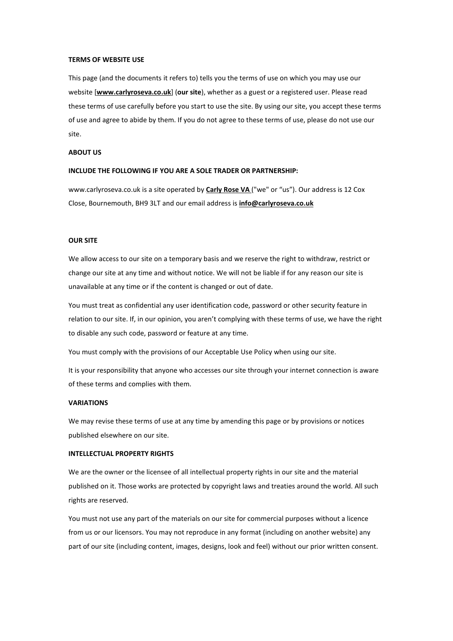#### **TERMS OF WEBSITE USE**

This page (and the documents it refers to) tells you the terms of use on which you may use our website [**www.carlyroseva.co.uk**] (**our site**), whether as a guest or a registered user. Please read these terms of use carefully before you start to use the site. By using our site, you accept these terms of use and agree to abide by them. If you do not agree to these terms of use, please do not use our site.

#### **ABOUT US**

#### **INCLUDE THE FOLLOWING IF YOU ARE A SOLE TRADER OR PARTNERSHIP:**

www.carlyroseva.co.uk is a site operated by **Carly Rose VA** ("we" or "us"). Our address is 12 Cox Close, Bournemouth, BH9 3LT and our email address is **info@carlyroseva.co.uk**

## **OUR SITE**

We allow access to our site on a temporary basis and we reserve the right to withdraw, restrict or change our site at any time and without notice. We will not be liable if for any reason our site is unavailable at any time or if the content is changed or out of date.

You must treat as confidential any user identification code, password or other security feature in relation to our site. If, in our opinion, you aren't complying with these terms of use, we have the right to disable any such code, password or feature at any time.

You must comply with the provisions of our Acceptable Use Policy when using our site.

It is your responsibility that anyone who accesses our site through your internet connection is aware of these terms and complies with them.

## **VARIATIONS**

We may revise these terms of use at any time by amending this page or by provisions or notices published elsewhere on our site.

#### **INTELLECTUAL PROPERTY RIGHTS**

We are the owner or the licensee of all intellectual property rights in our site and the material published on it. Those works are protected by copyright laws and treaties around the world. All such rights are reserved.

You must not use any part of the materials on our site for commercial purposes without a licence from us or our licensors. You may not reproduce in any format (including on another website) any part of our site (including content, images, designs, look and feel) without our prior written consent.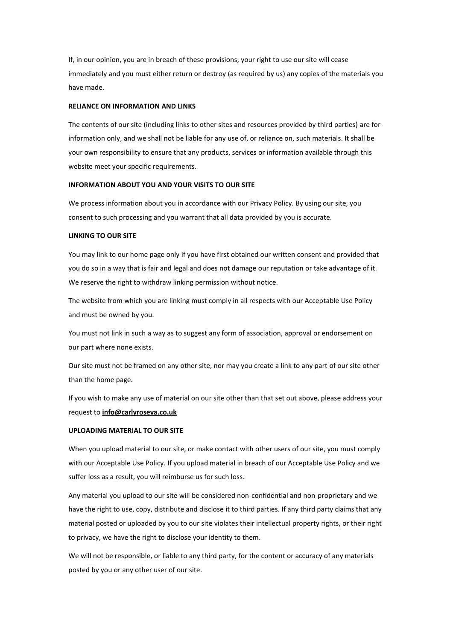If, in our opinion, you are in breach of these provisions, your right to use our site will cease immediately and you must either return or destroy (as required by us) any copies of the materials you have made.

## **RELIANCE ON INFORMATION AND LINKS**

The contents of our site (including links to other sites and resources provided by third parties) are for information only, and we shall not be liable for any use of, or reliance on, such materials. It shall be your own responsibility to ensure that any products, services or information available through this website meet your specific requirements.

## **INFORMATION ABOUT YOU AND YOUR VISITS TO OUR SITE**

We process information about you in accordance with our Privacy Policy. By using our site, you consent to such processing and you warrant that all data provided by you is accurate.

# **LINKING TO OUR SITE**

You may link to our home page only if you have first obtained our written consent and provided that you do so in a way that is fair and legal and does not damage our reputation or take advantage of it. We reserve the right to withdraw linking permission without notice.

The website from which you are linking must comply in all respects with our Acceptable Use Policy and must be owned by you.

You must not link in such a way as to suggest any form of association, approval or endorsement on our part where none exists.

Our site must not be framed on any other site, nor may you create a link to any part of our site other than the home page.

If you wish to make any use of material on our site other than that set out above, please address your request to **info@carlyroseva.co.uk**

#### **UPLOADING MATERIAL TO OUR SITE**

When you upload material to our site, or make contact with other users of our site, you must comply with our Acceptable Use Policy. If you upload material in breach of our Acceptable Use Policy and we suffer loss as a result, you will reimburse us for such loss.

Any material you upload to our site will be considered non-confidential and non-proprietary and we have the right to use, copy, distribute and disclose it to third parties. If any third party claims that any material posted or uploaded by you to our site violates their intellectual property rights, or their right to privacy, we have the right to disclose your identity to them.

We will not be responsible, or liable to any third party, for the content or accuracy of any materials posted by you or any other user of our site.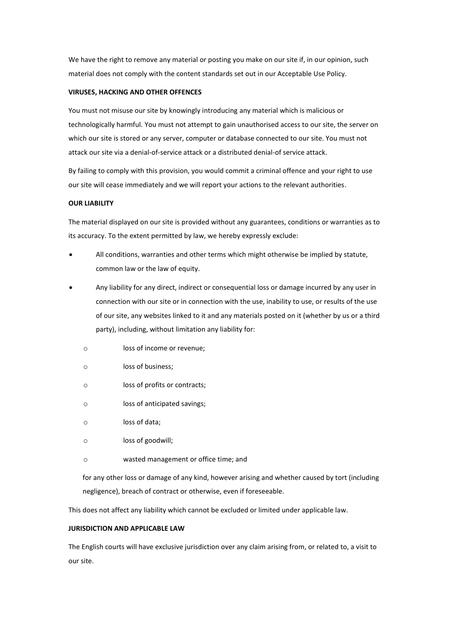We have the right to remove any material or posting you make on our site if, in our opinion, such material does not comply with the content standards set out in our Acceptable Use Policy.

## **VIRUSES, HACKING AND OTHER OFFENCES**

You must not misuse our site by knowingly introducing any material which is malicious or technologically harmful. You must not attempt to gain unauthorised access to our site, the server on which our site is stored or any server, computer or database connected to our site. You must not attack our site via a denial-of-service attack or a distributed denial-of service attack.

By failing to comply with this provision, you would commit a criminal offence and your right to use our site will cease immediately and we will report your actions to the relevant authorities.

# **OUR LIABILITY**

The material displayed on our site is provided without any guarantees, conditions or warranties as to its accuracy. To the extent permitted by law, we hereby expressly exclude:

- All conditions, warranties and other terms which might otherwise be implied by statute, common law or the law of equity.
- Any liability for any direct, indirect or consequential loss or damage incurred by any user in connection with our site or in connection with the use, inability to use, or results of the use of our site, any websites linked to it and any materials posted on it (whether by us or a third party), including, without limitation any liability for:
	- o loss of income or revenue;
	- o loss of business;
	- o loss of profits or contracts;
	- o loss of anticipated savings;
	- o loss of data;
	- o loss of goodwill;
	- o wasted management or office time; and

for any other loss or damage of any kind, however arising and whether caused by tort (including negligence), breach of contract or otherwise, even if foreseeable.

This does not affect any liability which cannot be excluded or limited under applicable law.

# **JURISDICTION AND APPLICABLE LAW**

The English courts will have exclusive jurisdiction over any claim arising from, or related to, a visit to our site.